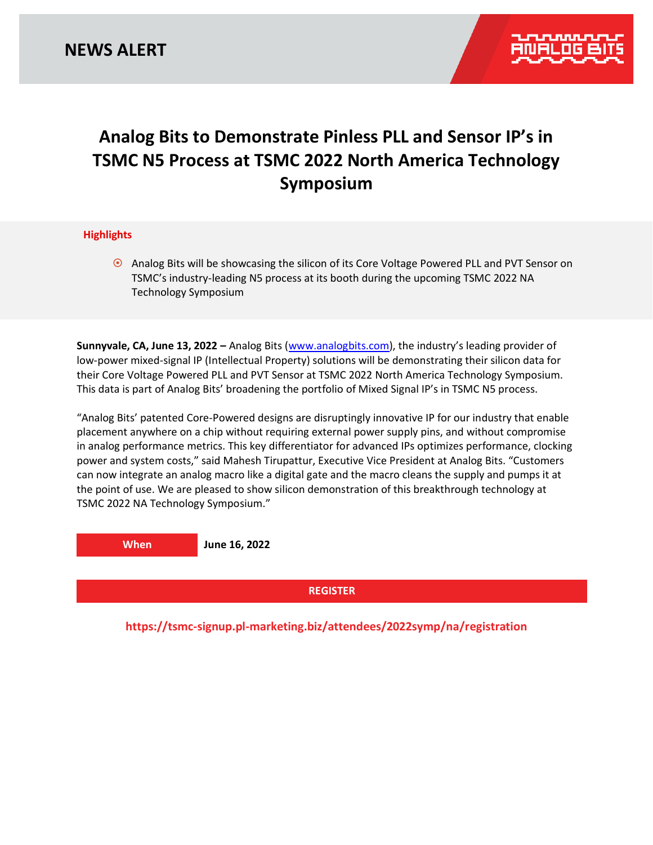## **Analog Bits to Demonstrate Pinless PLL and Sensor IP's in TSMC N5 Process at TSMC 2022 North America Technology Symposium**

## **Highlights**

 Analog Bits will be showcasing the silicon of its Core Voltage Powered PLL and PVT Sensor on TSMC's industry-leading N5 process at its booth during the upcoming TSMC 2022 NA Technology Symposium

**Sunnyvale, CA, June 13, 2022 –** Analog Bits [\(www.analogbits.com](http://www.analogbits.com/)), the industry's leading provider of low-power mixed-signal IP (Intellectual Property) solutions will be demonstrating their silicon data for their Core Voltage Powered PLL and PVT Sensor at TSMC 2022 North America Technology Symposium. This data is part of Analog Bits' broadening the portfolio of Mixed Signal IP's in TSMC N5 process.

"Analog Bits' patented Core-Powered designs are disruptingly innovative IP for our industry that enable placement anywhere on a chip without requiring external power supply pins, and without compromise in analog performance metrics. This key differentiator for advanced IPs optimizes performance, clocking power and system costs," said Mahesh Tirupattur, Executive Vice President at Analog Bits. "Customers can now integrate an analog macro like a digital gate and the macro cleans the supply and pumps it at the point of use. We are pleased to show silicon demonstration of this breakthrough technology at TSMC 2022 NA Technology Symposium."

**When June 16, 2022**

**[REGISTER](https://tsmc-signup.pl-marketing.biz/attendees/2022symp/na/registration)**

**https://tsmc-signup.pl-marketing.biz/attendees/2022symp/na/registration**